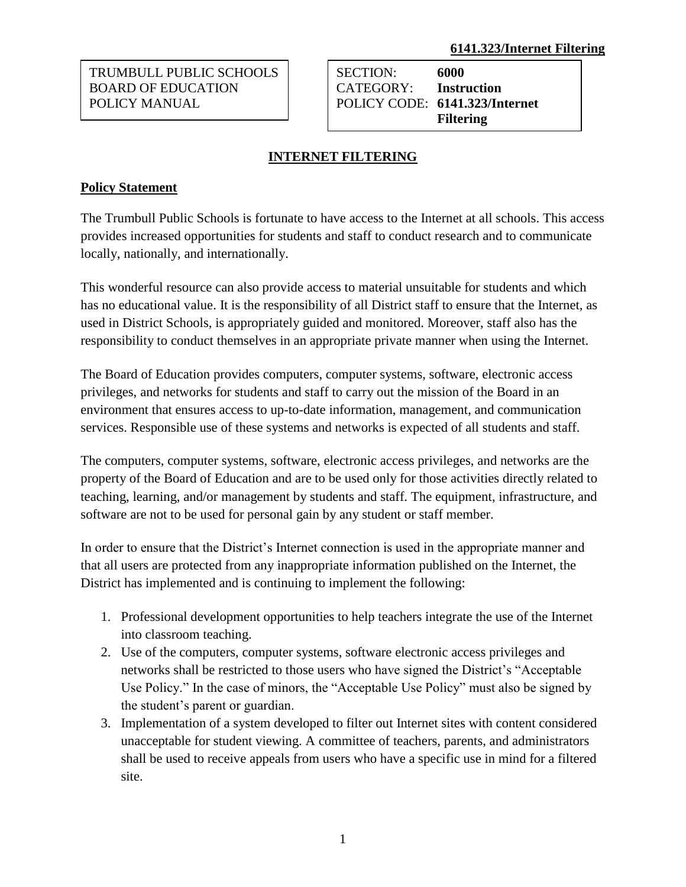TRUMBULL PUBLIC SCHOOLS BOARD OF EDUCATION POLICY MANUAL

SECTION: **6000** CATEGORY: **Instruction** POLICY CODE: **6141.323/Internet Filtering**

# **INTERNET FILTERING**

## **Policy Statement**

The Trumbull Public Schools is fortunate to have access to the Internet at all schools. This access provides increased opportunities for students and staff to conduct research and to communicate locally, nationally, and internationally.

This wonderful resource can also provide access to material unsuitable for students and which has no educational value. It is the responsibility of all District staff to ensure that the Internet, as used in District Schools, is appropriately guided and monitored. Moreover, staff also has the responsibility to conduct themselves in an appropriate private manner when using the Internet.

The Board of Education provides computers, computer systems, software, electronic access privileges, and networks for students and staff to carry out the mission of the Board in an environment that ensures access to up-to-date information, management, and communication services. Responsible use of these systems and networks is expected of all students and staff.

The computers, computer systems, software, electronic access privileges, and networks are the property of the Board of Education and are to be used only for those activities directly related to teaching, learning, and/or management by students and staff. The equipment, infrastructure, and software are not to be used for personal gain by any student or staff member.

In order to ensure that the District's Internet connection is used in the appropriate manner and that all users are protected from any inappropriate information published on the Internet, the District has implemented and is continuing to implement the following:

- 1. Professional development opportunities to help teachers integrate the use of the Internet into classroom teaching.
- 2. Use of the computers, computer systems, software electronic access privileges and networks shall be restricted to those users who have signed the District's "Acceptable Use Policy." In the case of minors, the "Acceptable Use Policy" must also be signed by the student's parent or guardian.
- 3. Implementation of a system developed to filter out Internet sites with content considered unacceptable for student viewing. A committee of teachers, parents, and administrators shall be used to receive appeals from users who have a specific use in mind for a filtered site.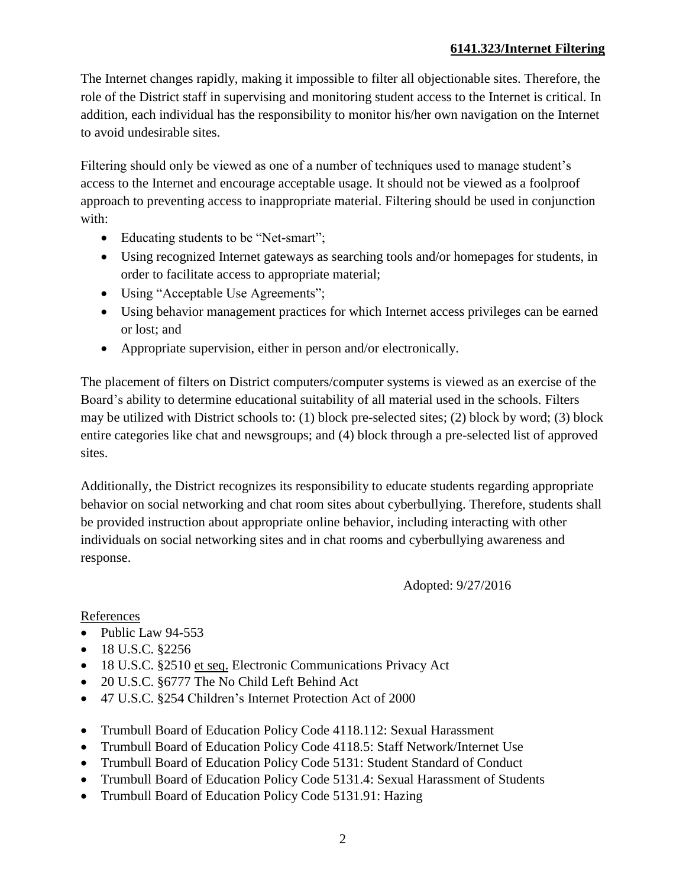## **6141.323/Internet Filtering**

The Internet changes rapidly, making it impossible to filter all objectionable sites. Therefore, the role of the District staff in supervising and monitoring student access to the Internet is critical. In addition, each individual has the responsibility to monitor his/her own navigation on the Internet to avoid undesirable sites.

Filtering should only be viewed as one of a number of techniques used to manage student's access to the Internet and encourage acceptable usage. It should not be viewed as a foolproof approach to preventing access to inappropriate material. Filtering should be used in conjunction with:

- Educating students to be "Net-smart";
- Using recognized Internet gateways as searching tools and/or homepages for students, in order to facilitate access to appropriate material;
- Using "Acceptable Use Agreements";
- Using behavior management practices for which Internet access privileges can be earned or lost; and
- Appropriate supervision, either in person and/or electronically.

The placement of filters on District computers/computer systems is viewed as an exercise of the Board's ability to determine educational suitability of all material used in the schools. Filters may be utilized with District schools to: (1) block pre-selected sites; (2) block by word; (3) block entire categories like chat and newsgroups; and (4) block through a pre-selected list of approved sites.

Additionally, the District recognizes its responsibility to educate students regarding appropriate behavior on social networking and chat room sites about cyberbullying. Therefore, students shall be provided instruction about appropriate online behavior, including interacting with other individuals on social networking sites and in chat rooms and cyberbullying awareness and response.

Adopted: 9/27/2016

#### References

- Public Law 94-553
- $\bullet$  18 U.S.C. §2256
- 18 U.S.C. §2510 et seq. Electronic Communications Privacy Act
- 20 U.S.C. §6777 The No Child Left Behind Act
- 47 U.S.C. §254 Children's Internet Protection Act of 2000
- Trumbull Board of Education Policy Code 4118.112: Sexual Harassment
- Trumbull Board of Education Policy Code 4118.5: Staff Network/Internet Use
- Trumbull Board of Education Policy Code 5131: Student Standard of Conduct
- Trumbull Board of Education Policy Code 5131.4: Sexual Harassment of Students
- Trumbull Board of Education Policy Code 5131.91: Hazing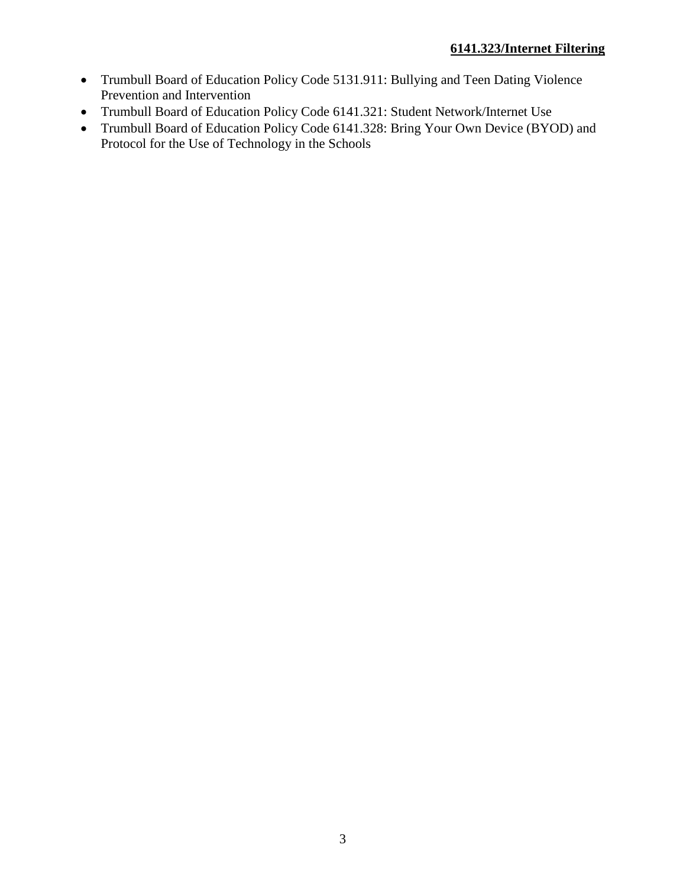- Trumbull Board of Education Policy Code 5131.911: Bullying and Teen Dating Violence Prevention and Intervention
- Trumbull Board of Education Policy Code 6141.321: Student Network/Internet Use
- Trumbull Board of Education Policy Code 6141.328: Bring Your Own Device (BYOD) and Protocol for the Use of Technology in the Schools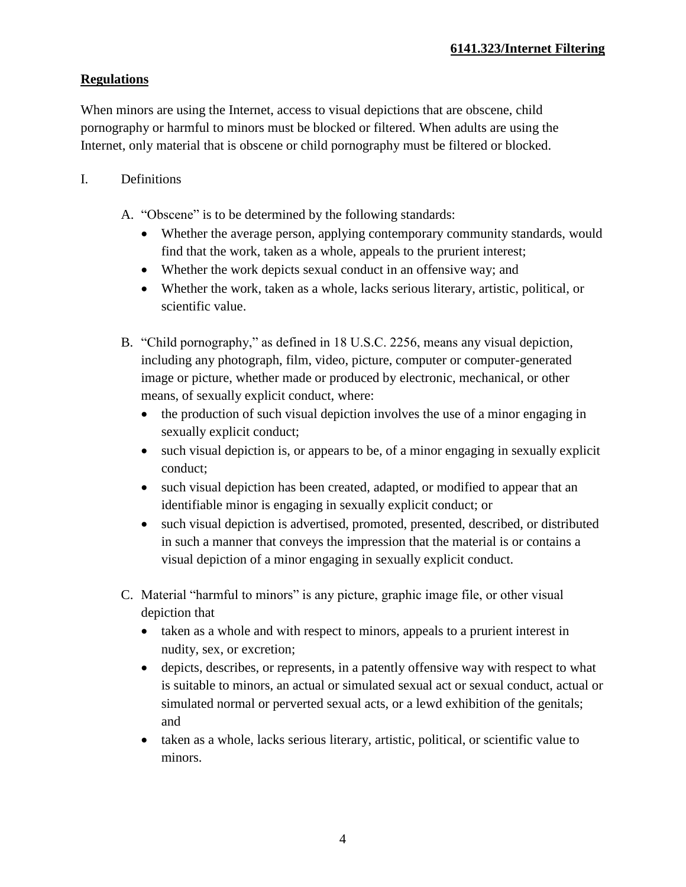# **Regulations**

When minors are using the Internet, access to visual depictions that are obscene, child pornography or harmful to minors must be blocked or filtered. When adults are using the Internet, only material that is obscene or child pornography must be filtered or blocked.

- I. Definitions
	- A. "Obscene" is to be determined by the following standards:
		- Whether the average person, applying contemporary community standards, would find that the work, taken as a whole, appeals to the prurient interest;
		- Whether the work depicts sexual conduct in an offensive way; and
		- Whether the work, taken as a whole, lacks serious literary, artistic, political, or scientific value.
	- B. "Child pornography," as defined in 18 U.S.C. 2256, means any visual depiction, including any photograph, film, video, picture, computer or computer-generated image or picture, whether made or produced by electronic, mechanical, or other means, of sexually explicit conduct, where:
		- the production of such visual depiction involves the use of a minor engaging in sexually explicit conduct;
		- such visual depiction is, or appears to be, of a minor engaging in sexually explicit conduct;
		- such visual depiction has been created, adapted, or modified to appear that an identifiable minor is engaging in sexually explicit conduct; or
		- such visual depiction is advertised, promoted, presented, described, or distributed in such a manner that conveys the impression that the material is or contains a visual depiction of a minor engaging in sexually explicit conduct.
	- C. Material "harmful to minors" is any picture, graphic image file, or other visual depiction that
		- taken as a whole and with respect to minors, appeals to a prurient interest in nudity, sex, or excretion;
		- depicts, describes, or represents, in a patently offensive way with respect to what is suitable to minors, an actual or simulated sexual act or sexual conduct, actual or simulated normal or perverted sexual acts, or a lewd exhibition of the genitals; and
		- taken as a whole, lacks serious literary, artistic, political, or scientific value to minors.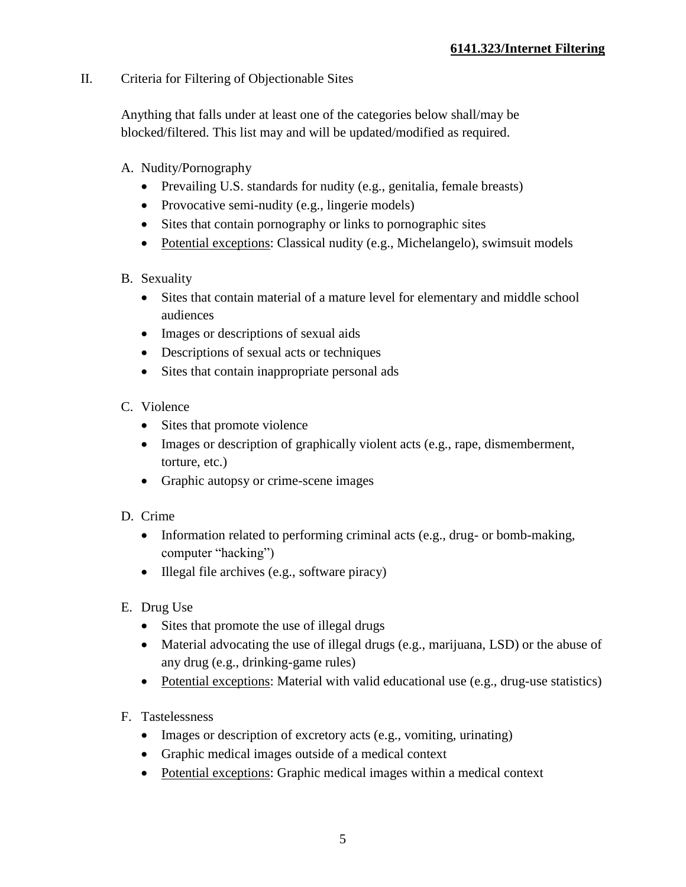## II. Criteria for Filtering of Objectionable Sites

Anything that falls under at least one of the categories below shall/may be blocked/filtered. This list may and will be updated/modified as required.

- A. Nudity/Pornography
	- Prevailing U.S. standards for nudity (e.g., genitalia, female breasts)
	- Provocative semi-nudity (e.g., lingerie models)
	- Sites that contain pornography or links to pornographic sites
	- Potential exceptions: Classical nudity (e.g., Michelangelo), swimsuit models
- B. Sexuality
	- Sites that contain material of a mature level for elementary and middle school audiences
	- Images or descriptions of sexual aids
	- Descriptions of sexual acts or techniques
	- Sites that contain inappropriate personal ads
- C. Violence
	- Sites that promote violence
	- Images or description of graphically violent acts (e.g., rape, dismemberment, torture, etc.)
	- Graphic autopsy or crime-scene images
- D. Crime
	- Information related to performing criminal acts (e.g., drug- or bomb-making, computer "hacking")
	- Illegal file archives (e.g., software piracy)
- E. Drug Use
	- Sites that promote the use of illegal drugs
	- Material advocating the use of illegal drugs (e.g., marijuana, LSD) or the abuse of any drug (e.g., drinking-game rules)
	- Potential exceptions: Material with valid educational use (e.g., drug-use statistics)
- F. Tastelessness
	- Images or description of excretory acts (e.g., vomiting, urinating)
	- Graphic medical images outside of a medical context
	- Potential exceptions: Graphic medical images within a medical context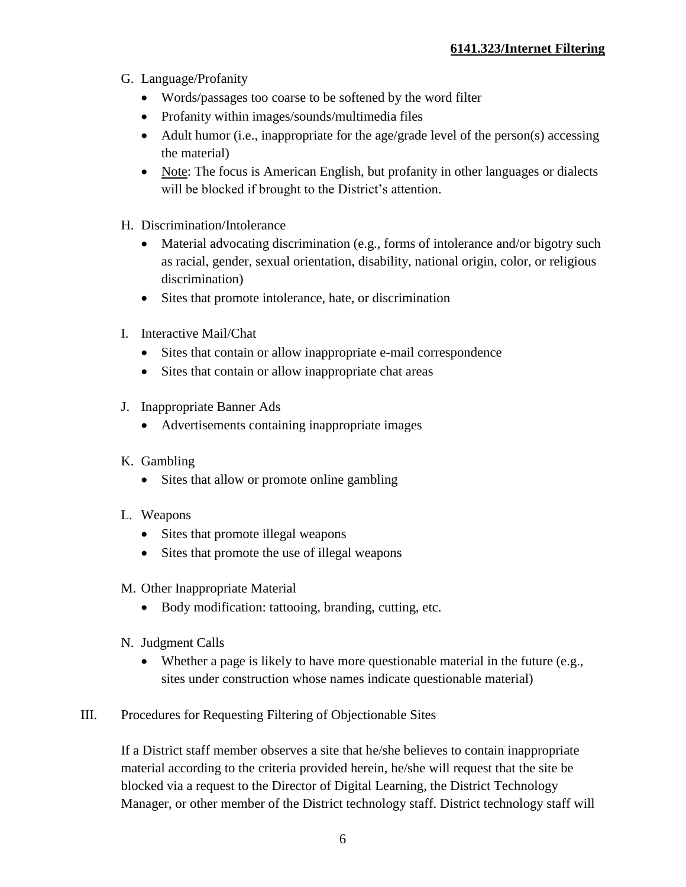- G. Language/Profanity
	- Words/passages too coarse to be softened by the word filter
	- Profanity within images/sounds/multimedia files
	- Adult humor (i.e., inappropriate for the age/grade level of the person(s) accessing the material)
	- Note: The focus is American English, but profanity in other languages or dialects will be blocked if brought to the District's attention.
- H. Discrimination/Intolerance
	- Material advocating discrimination (e.g., forms of intolerance and/or bigotry such as racial, gender, sexual orientation, disability, national origin, color, or religious discrimination)
	- Sites that promote intolerance, hate, or discrimination
- I. Interactive Mail/Chat
	- Sites that contain or allow inappropriate e-mail correspondence
	- Sites that contain or allow inappropriate chat areas
- J. Inappropriate Banner Ads
	- Advertisements containing inappropriate images
- K. Gambling
	- Sites that allow or promote online gambling
- L. Weapons
	- Sites that promote illegal weapons
	- Sites that promote the use of illegal weapons
- M. Other Inappropriate Material
	- Body modification: tattooing, branding, cutting, etc.
- N. Judgment Calls
	- Whether a page is likely to have more questionable material in the future (e.g., sites under construction whose names indicate questionable material)
- III. Procedures for Requesting Filtering of Objectionable Sites

If a District staff member observes a site that he/she believes to contain inappropriate material according to the criteria provided herein, he/she will request that the site be blocked via a request to the Director of Digital Learning, the District Technology Manager, or other member of the District technology staff. District technology staff will